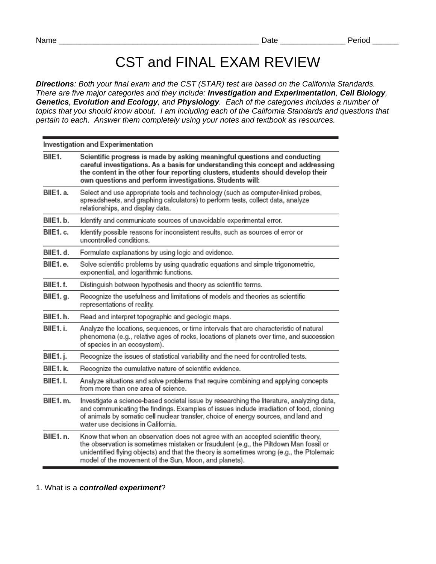## CST and FINAL EXAM REVIEW

*Directions: Both your final exam and the CST (STAR) test are based on the California Standards. There are five major categories and they include: Investigation and Experimentation, Cell Biology, Genetics, Evolution and Ecology, and Physiology. Each of the categories includes a number of topics that you should know about. I am including each of the California Standards and questions that pertain to each. Answer them completely using your notes and textbook as resources.* 

| Investigation and Experimentation |                                                                                                                                                                                                                                                                                                                                |  |
|-----------------------------------|--------------------------------------------------------------------------------------------------------------------------------------------------------------------------------------------------------------------------------------------------------------------------------------------------------------------------------|--|
| BIIE1.                            | Scientific progress is made by asking meaningful questions and conducting<br>careful investigations. As a basis for understanding this concept and addressing<br>the content in the other four reporting clusters, students should develop their<br>own questions and perform investigations. Students will:                   |  |
| BIIE1. a.                         | Select and use appropriate tools and technology (such as computer-linked probes,<br>spreadsheets, and graphing calculators) to perform tests, collect data, analyze<br>relationships, and display data.                                                                                                                        |  |
| BIIE1.b.                          | Identify and communicate sources of unavoidable experimental error.                                                                                                                                                                                                                                                            |  |
| BIIE1. c.                         | Identify possible reasons for inconsistent results, such as sources of error or<br>uncontrolled conditions.                                                                                                                                                                                                                    |  |
| BIIE1.d.                          | Formulate explanations by using logic and evidence.                                                                                                                                                                                                                                                                            |  |
| BIIE1.e.                          | Solve scientific problems by using quadratic equations and simple trigonometric,<br>exponential, and logarithmic functions.                                                                                                                                                                                                    |  |
| BIIE1.f.                          | Distinguish between hypothesis and theory as scientific terms.                                                                                                                                                                                                                                                                 |  |
| BIIE1.g.                          | Recognize the usefulness and limitations of models and theories as scientific<br>representations of reality.                                                                                                                                                                                                                   |  |
| BIIE1.h.                          | Read and interpret topographic and geologic maps.                                                                                                                                                                                                                                                                              |  |
| BIIE1.i.                          | Analyze the locations, sequences, or time intervals that are characteristic of natural<br>phenomena (e.g., relative ages of rocks, locations of planets over time, and succession<br>of species in an ecosystem).                                                                                                              |  |
| BIIE1. j.                         | Recognize the issues of statistical variability and the need for controlled tests.                                                                                                                                                                                                                                             |  |
| BIIE1. k.                         | Recognize the cumulative nature of scientific evidence.                                                                                                                                                                                                                                                                        |  |
| <b>BIIE1.I.</b>                   | Analyze situations and solve problems that require combining and applying concepts<br>from more than one area of science.                                                                                                                                                                                                      |  |
| BIIE1.m.                          | Investigate a science-based societal issue by researching the literature, analyzing data,<br>and communicating the findings. Examples of issues include irradiation of food, cloning<br>of animals by somatic cell nuclear transfer, choice of energy sources, and land and<br>water use decisions in California.              |  |
| BIIE1. n.                         | Know that when an observation does not agree with an accepted scientific theory,<br>the observation is sometimes mistaken or fraudulent (e.g., the Piltdown Man fossil or<br>unidentified flying objects) and that the theory is sometimes wrong (e.g., the Ptolemaic<br>model of the movement of the Sun, Moon, and planets). |  |

## 1. What is a *controlled experiment*?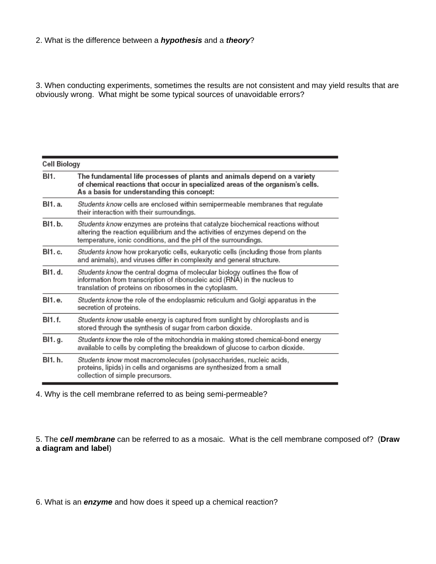3. When conducting experiments, sometimes the results are not consistent and may yield results that are obviously wrong. What might be some typical sources of unavoidable errors?

| Cell Biology |                                                                                                                                                                                                                                   |
|--------------|-----------------------------------------------------------------------------------------------------------------------------------------------------------------------------------------------------------------------------------|
| BI1.         | The fundamental life processes of plants and animals depend on a variety<br>of chemical reactions that occur in specialized areas of the organism's cells.<br>As a basis for understanding this concept:                          |
| BI1. a.      | Students know cells are enclosed within semipermeable membranes that regulate<br>their interaction with their surroundings.                                                                                                       |
| BI1.b.       | Students know enzymes are proteins that catalyze biochemical reactions without<br>altering the reaction equilibrium and the activities of enzymes depend on the<br>temperature, ionic conditions, and the pH of the surroundings. |
| BI1. c.      | Students know how prokaryotic cells, eukaryotic cells (including those from plants<br>and animals), and viruses differ in complexity and general structure.                                                                       |
| BI1. d.      | Students know the central dogma of molecular biology outlines the flow of<br>information from transcription of ribonucleic acid (RNA) in the nucleus to<br>translation of proteins on ribosomes in the cytoplasm.                 |
| BI1.e.       | Students know the role of the endoplasmic reticulum and Golgi apparatus in the<br>secretion of proteins.                                                                                                                          |
| BI1.f.       | Students know usable energy is captured from sunlight by chloroplasts and is<br>stored through the synthesis of sugar from carbon dioxide.                                                                                        |
| BI1. g.      | Students know the role of the mitochondria in making stored chemical-bond energy<br>available to cells by completing the breakdown of glucose to carbon dioxide.                                                                  |
| BI1. h.      | Students know most macromolecules (polysaccharides, nucleic acids,<br>proteins, lipids) in cells and organisms are synthesized from a small<br>collection of simple precursors.                                                   |

4. Why is the cell membrane referred to as being semi-permeable?

5. The *cell membrane* can be referred to as a mosaic. What is the cell membrane composed of? (**Draw a diagram and label**)

6. What is an *enzyme* and how does it speed up a chemical reaction?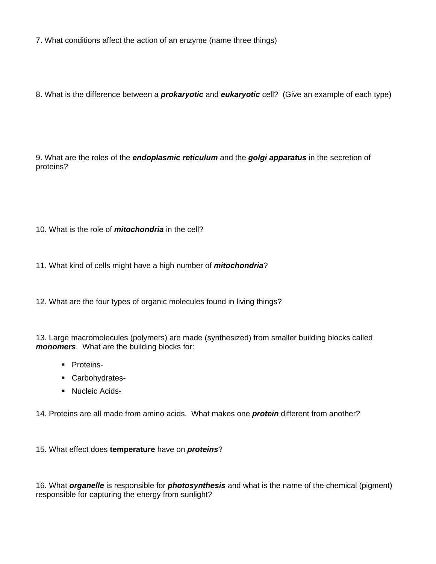7. What conditions affect the action of an enzyme (name three things)

8. What is the difference between a *prokaryotic* and *eukaryotic* cell? (Give an example of each type)

9. What are the roles of the *endoplasmic reticulum* and the *golgi apparatus* in the secretion of proteins?

10. What is the role of *mitochondria* in the cell?

11. What kind of cells might have a high number of *mitochondria*?

12. What are the four types of organic molecules found in living things?

13. Large macromolecules (polymers) are made (synthesized) from smaller building blocks called *monomers*. What are the building blocks for:

- **-** Proteins-
- Carbohydrates-
- **Nucleic Acids-**

14. Proteins are all made from amino acids. What makes one *protein* different from another?

15. What effect does **temperature** have on *proteins*?

16. What *organelle* is responsible for *photosynthesis* and what is the name of the chemical (pigment) responsible for capturing the energy from sunlight?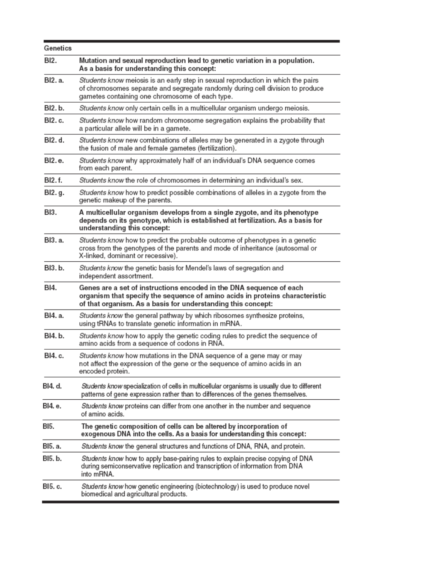| Genetics |                                                                                                                                                                                                                       |
|----------|-----------------------------------------------------------------------------------------------------------------------------------------------------------------------------------------------------------------------|
| BI2.     | Mutation and sexual reproduction lead to genetic variation in a population.<br>As a basis for understanding this concept:                                                                                             |
| BI2. a.  | Students know meiosis is an early step in sexual reproduction in which the pairs<br>of chromosomes separate and segregate randomly during cell division to produce<br>gametes containing one chromosome of each type. |
| BI2. b.  | Students know only certain cells in a multicellular organism undergo meiosis.                                                                                                                                         |
| BI2. c.  | Students know how random chromosome segregation explains the probability that<br>a particular allele will be in a gamete.                                                                                             |
| BI2. d.  | Students know new combinations of alleles may be generated in a zygote through<br>the fusion of male and female gametes (fertilization).                                                                              |
| BI2. e.  | Students know why approximately half of an individual's DNA sequence comes<br>from each parent.                                                                                                                       |
| BI2. f.  | Students know the role of chromosomes in determining an individual's sex.                                                                                                                                             |
| BI2. g.  | Students know how to predict possible combinations of alleles in a zygote from the<br>genetic makeup of the parents.                                                                                                  |
| BI3.     | A multicellular organism develops from a single zygote, and its phenotype<br>depends on its genotype, which is established at fertilization. As a basis for<br>understanding this concept:                            |
| BI3. a.  | Students know how to predict the probable outcome of phenotypes in a genetic<br>cross from the genotypes of the parents and mode of inheritance (autosomal or<br>X-linked, dominant or recessive).                    |
| BI3.b.   | Students know the genetic basis for Mendel's laws of segregation and<br>independent assortment.                                                                                                                       |
| BI4.     | Genes are a set of instructions encoded in the DNA sequence of each<br>organism that specify the sequence of amino acids in proteins characteristic<br>of that organism. As a basis for understanding this concept:   |
| BI4. a.  | Students know the general pathway by which ribosomes synthesize proteins,<br>using tRNAs to translate genetic information in mRNA.                                                                                    |
| BI4. b.  | Students know how to apply the genetic coding rules to predict the sequence of<br>amino acids from a sequence of codons in RNA.                                                                                       |
| BI4. c.  | Students know how mutations in the DNA sequence of a gene may or may<br>not affect the expression of the gene or the sequence of amino acids in an<br>encoded protein.                                                |
| BI4. d.  | Students know specialization of cells in multicellular organisms is usually due to different<br>patterns of gene expression rather than to differences of the genes themselves.                                       |
| BI4. e.  | Students know proteins can differ from one another in the number and sequence<br>of amino acids.                                                                                                                      |
| BI5.     | The genetic composition of cells can be altered by incorporation of<br>exogenous DNA into the cells. As a basis for understanding this concept:                                                                       |
| BI5. a.  | Students know the general structures and functions of DNA, RNA, and protein.                                                                                                                                          |
| BI5. b.  | Students know how to apply base-pairing rules to explain precise copying of DNA<br>during semiconservative replication and transcription of information from DNA<br>into mRNA.                                        |
| BI5. c.  | Students know how genetic engineering (biotechnology) is used to produce novel<br>biomedical and agricultural products.                                                                                               |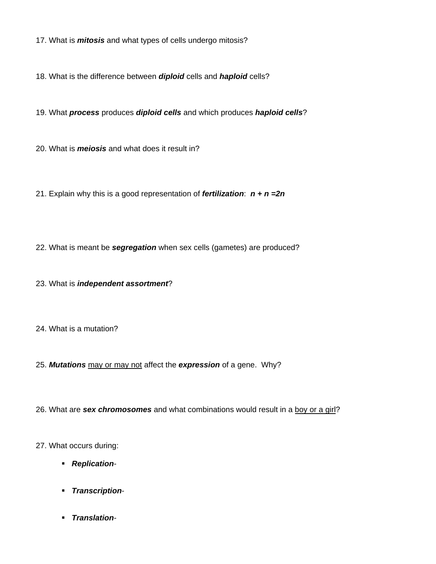17. What is *mitosis* and what types of cells undergo mitosis?

18. What is the difference between *diploid* cells and *haploid* cells?

19. What *process* produces *diploid cells* and which produces *haploid cells*?

20. What is *meiosis* and what does it result in?

21. Explain why this is a good representation of *fertilization*: *n + n =2n* 

22. What is meant be *segregation* when sex cells (gametes) are produced?

23. What is *independent assortment*?

24. What is a mutation?

25. *Mutations* may or may not affect the *expression* of a gene. Why?

26. What are *sex chromosomes* and what combinations would result in a boy or a girl?

27. What occurs during:

- *Replication*-
- *Transcription*-
- *Translation*-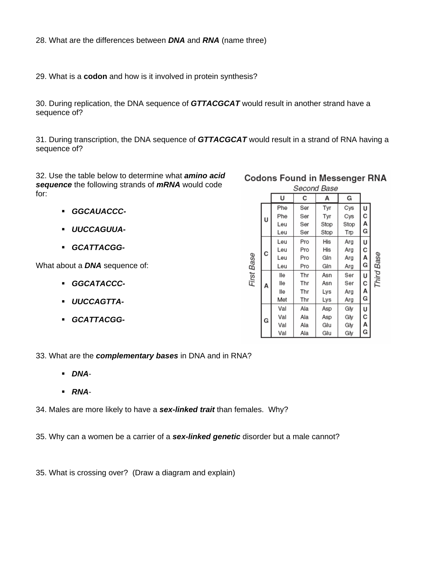28. What are the differences between *DNA* and *RNA* (name three)

29. What is a **codon** and how is it involved in protein synthesis?

30. During replication, the DNA sequence of *GTTACGCAT* would result in another strand have a sequence of?

31. During transcription, the DNA sequence of *GTTACGCAT* would result in a strand of RNA having a sequence of?

32. Use the table below to determine what *amino acid sequence* the following strands of *mRNA* would code for:

- *GGCAUACCC-*
- *UUCCAGUUA-*
- *GCATTACGG-*

What about a *DNA* sequence of:

- *GGCATACCC-*
- *UUCCAGTTA-*
- *GCATTACGG-*

## **Codons Found in Messenger RNA**

| Second Base |   |     |     |      |      |   |       |
|-------------|---|-----|-----|------|------|---|-------|
|             |   | U   | с   | А    | G    |   |       |
| First Base  |   | Phe | Ser | Tyr  | Cys  | U |       |
|             | U | Phe | Ser | Tyr  | Cys  | с |       |
|             |   | Leu | Ser | Stop | Stop | А |       |
|             |   | Leu | Ser | Stop | Trp  | G |       |
|             |   | Leu | Pro | His  | Arg  | U |       |
|             | с | Leu | Pro | His  | Arg  | С |       |
|             |   | Leu | Pro | Gln  | Arg  | А | Base  |
|             |   | Leu | Pro | Gln  | Arg  | G |       |
|             |   | lle | Thr | Asn  | Ser  | U | Third |
|             | A | lle | Thr | Asn  | Ser  | с |       |
|             |   | lle | Thr | Lys  | Arg  | А |       |
|             |   | Met | Thr | Lys  | Arg  | G |       |
|             |   | Val | Ala | Asp  | Gly  | U |       |
|             | G | Val | Ala | Asp  | Gly  | с |       |
|             |   | Val | Ala | Glu  | Gly  | А |       |
|             |   | Val | Ala | Glu  | Gly  | G |       |

33. What are the *complementary bases* in DNA and in RNA?

- *DNA*-
- *RNA*-

34. Males are more likely to have a *sex-linked trait* than females. Why?

35. Why can a women be a carrier of a *sex-linked genetic* disorder but a male cannot?

35. What is crossing over? (Draw a diagram and explain)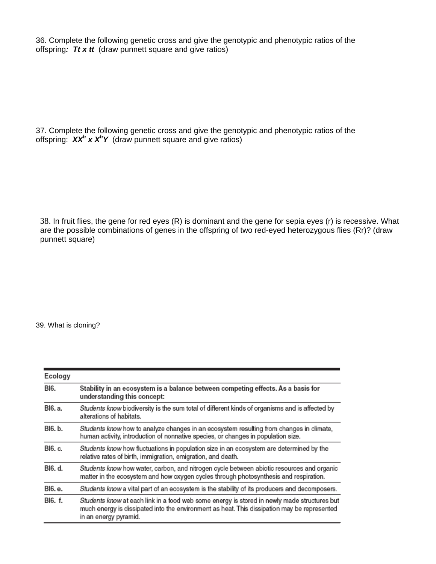36. Complete the following genetic cross and give the genotypic and phenotypic ratios of the offspring*: Tt x tt* (draw punnett square and give ratios)

37. Complete the following genetic cross and give the genotypic and phenotypic ratios of the offspring: *XX<sup>h</sup> x X<sup>h</sup>Y* (draw punnett square and give ratios)

38. In fruit flies, the gene for red eyes (R) is dominant and the gene for sepia eyes (r) is recessive. What are the possible combinations of genes in the offspring of two red-eyed heterozygous flies (Rr)? (draw punnett square)

39. What is cloning?

| Ecology |                                                                                                                                                                                                                     |
|---------|---------------------------------------------------------------------------------------------------------------------------------------------------------------------------------------------------------------------|
| BI6.    | Stability in an ecosystem is a balance between competing effects. As a basis for<br>understanding this concept:                                                                                                     |
| BI6. a. | Students know biodiversity is the sum total of different kinds of organisms and is affected by<br>alterations of habitats.                                                                                          |
| BI6. b. | Students know how to analyze changes in an ecosystem resulting from changes in climate,<br>human activity, introduction of nonnative species, or changes in population size.                                        |
| BI6. c. | Students know how fluctuations in population size in an ecosystem are determined by the<br>relative rates of birth, immigration, emigration, and death.                                                             |
| BI6. d. | Students know how water, carbon, and nitrogen cycle between abiotic resources and organic<br>matter in the ecosystem and how oxygen cycles through photosynthesis and respiration.                                  |
| BI6. e. | Students know a vital part of an ecosystem is the stability of its producers and decomposers.                                                                                                                       |
| BI6. f. | Students know at each link in a food web some energy is stored in newly made structures but<br>much energy is dissipated into the environment as heat. This dissipation may be represented<br>in an energy pyramid. |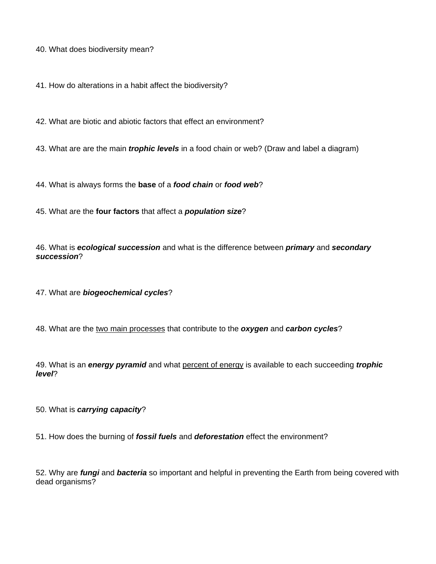40. What does biodiversity mean?

41. How do alterations in a habit affect the biodiversity?

42. What are biotic and abiotic factors that effect an environment?

43. What are are the main *trophic levels* in a food chain or web? (Draw and label a diagram)

44. What is always forms the **base** of a *food chain* or *food web*?

45. What are the **four factors** that affect a *population size*?

46. What is *ecological succession* and what is the difference between *primary* and *secondary succession*?

47. What are *biogeochemical cycles*?

48. What are the two main processes that contribute to the *oxygen* and *carbon cycles*?

49. What is an *energy pyramid* and what percent of energy is available to each succeeding *trophic level*?

50. What is *carrying capacity*?

51. How does the burning of *fossil fuels* and *deforestation* effect the environment?

52. Why are *fungi* and *bacteria* so important and helpful in preventing the Earth from being covered with dead organisms?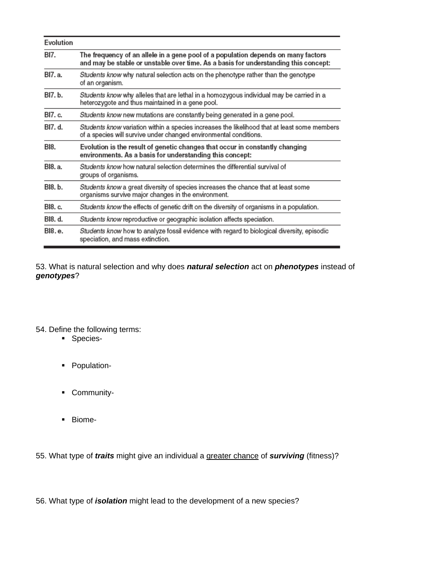| Evolution |                                                                                                                                                                          |
|-----------|--------------------------------------------------------------------------------------------------------------------------------------------------------------------------|
| BI7.      | The frequency of an allele in a gene pool of a population depends on many factors<br>and may be stable or unstable over time. As a basis for understanding this concept: |
| BI7. a.   | Students know why natural selection acts on the phenotype rather than the genotype<br>of an organism.                                                                    |
| BI7. b.   | Students know why alleles that are lethal in a homozygous individual may be carried in a<br>heterozygote and thus maintained in a gene pool.                             |
| BI7. c.   | Students know new mutations are constantly being generated in a gene pool.                                                                                               |
| BI7. d.   | Students know variation within a species increases the likelihood that at least some members<br>of a species will survive under changed environmental conditions.        |
| BI8.      | Evolution is the result of genetic changes that occur in constantly changing<br>environments. As a basis for understanding this concept:                                 |
| BI8. a.   | Students know how natural selection determines the differential survival of<br>groups of organisms.                                                                      |
| BI8. b.   | Students know a great diversity of species increases the chance that at least some<br>organisms survive major changes in the environment.                                |
| BI8. c.   | Students know the effects of genetic drift on the diversity of organisms in a population.                                                                                |
| BI8. d.   | Students know reproductive or geographic isolation affects speciation.                                                                                                   |
| BI8.e.    | Students know how to analyze fossil evidence with regard to biological diversity, episodic<br>speciation, and mass extinction.                                           |

53. What is natural selection and why does *natural selection* act on *phenotypes* instead of *genotypes*?

## 54. Define the following terms:

- Species-
- **-** Population-
- **-** Community-
- **Biome-**

55. What type of *traits* might give an individual a greater chance of *surviving* (fitness)?

56. What type of *isolation* might lead to the development of a new species?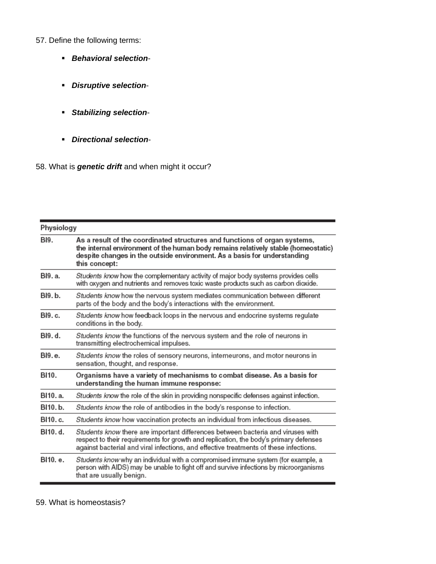57. Define the following terms:

- *Behavioral selection*-
- *Disruptive selection*-
- *Stabilizing selection*-
- *Directional selection*-
- 58. What is *genetic drift* and when might it occur?

| Physiology |                                                                                                                                                                                                                                                                   |  |
|------------|-------------------------------------------------------------------------------------------------------------------------------------------------------------------------------------------------------------------------------------------------------------------|--|
| BI9.       | As a result of the coordinated structures and functions of organ systems,<br>the internal environment of the human body remains relatively stable (homeostatic)<br>despite changes in the outside environment. As a basis for understanding<br>this concept:      |  |
| BI9. a.    | Students know how the complementary activity of major body systems provides cells<br>with oxygen and nutrients and removes toxic waste products such as carbon dioxide.                                                                                           |  |
| BI9. b.    | Students know how the nervous system mediates communication between different<br>parts of the body and the body's interactions with the environment.                                                                                                              |  |
| BI9. c.    | Students know how feedback loops in the nervous and endocrine systems regulate<br>conditions in the body.                                                                                                                                                         |  |
| BI9. d.    | Students know the functions of the nervous system and the role of neurons in<br>transmitting electrochemical impulses.                                                                                                                                            |  |
| BI9.e.     | Students know the roles of sensory neurons, interneurons, and motor neurons in<br>sensation, thought, and response.                                                                                                                                               |  |
| BI10.      | Organisms have a variety of mechanisms to combat disease. As a basis for<br>understanding the human immune response:                                                                                                                                              |  |
| BI10. a.   | Students know the role of the skin in providing nonspecific defenses against infection.                                                                                                                                                                           |  |
| BI10.b.    | Students know the role of antibodies in the body's response to infection.                                                                                                                                                                                         |  |
| BI10. c.   | Students know how vaccination protects an individual from infectious diseases.                                                                                                                                                                                    |  |
| BI10. d.   | Students know there are important differences between bacteria and viruses with<br>respect to their requirements for growth and replication, the body's primary defenses<br>against bacterial and viral infections, and effective treatments of these infections. |  |
| BI10. e.   | Students know why an individual with a compromised immune system (for example, a<br>person with AIDS) may be unable to fight off and survive infections by microorganisms<br>that are usually benign.                                                             |  |

59. What is homeostasis?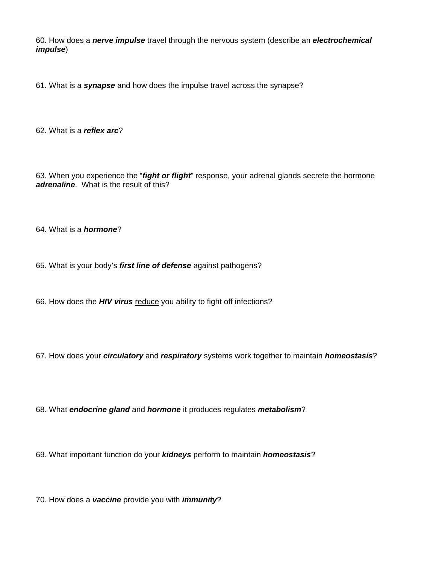60. How does a *nerve impulse* travel through the nervous system (describe an *electrochemical impulse*)

61. What is a *synapse* and how does the impulse travel across the synapse?

62. What is a *reflex arc*?

63. When you experience the "*fight or flight*" response, your adrenal glands secrete the hormone *adrenaline*. What is the result of this?

64. What is a *hormone*?

65. What is your body's *first line of defense* against pathogens?

66. How does the *HIV virus* reduce you ability to fight off infections?

67. How does your *circulatory* and *respiratory* systems work together to maintain *homeostasis*?

68. What *endocrine gland* and *hormone* it produces regulates *metabolism*?

69. What important function do your *kidneys* perform to maintain *homeostasis*?

70. How does a *vaccine* provide you with *immunity*?